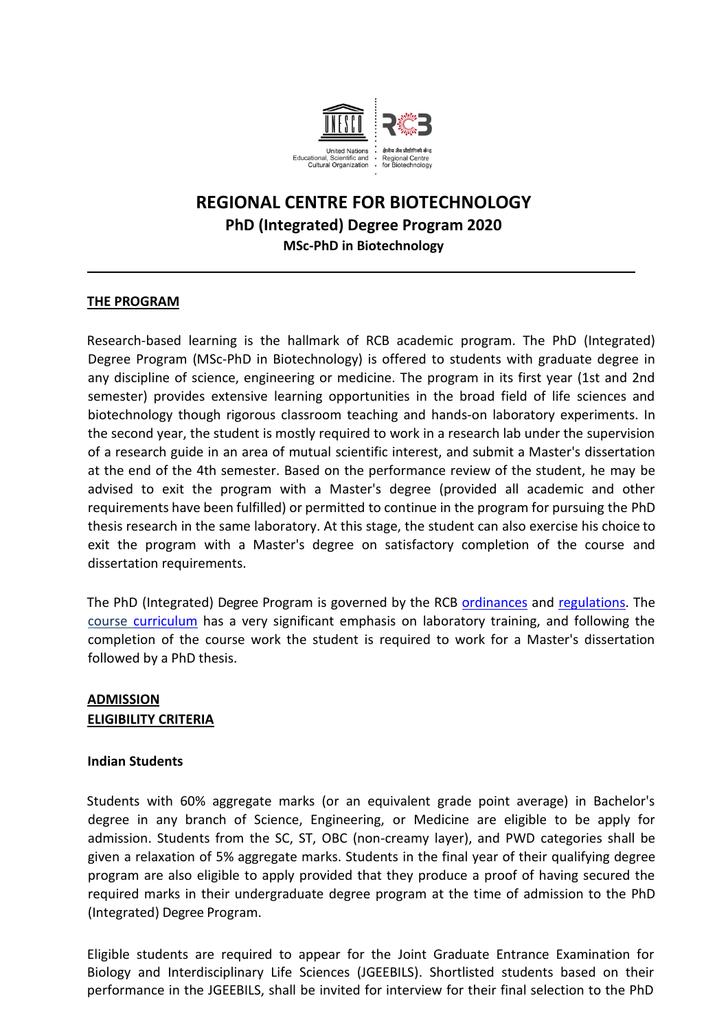

# **REGIONAL CENTRE FOR BIOTECHNOLOGY PhD (Integrated) Degree Program 2020 MSc-PhD in Biotechnology**

### **THE PROGRAM**

Research-based learning is the hallmark of RCB academic program. The PhD (Integrated) Degree Program (MSc-PhD in Biotechnology) is offered to students with graduate degree in any discipline of science, engineering or medicine. The program in its first year (1st and 2nd semester) provides extensive learning opportunities in the broad field of life sciences and biotechnology though rigorous classroom teaching and hands-on laboratory experiments. In the second year, the student is mostly required to work in a research lab under the supervision of a research guide in an area of mutual scientific interest, and submit a Master's dissertation at the end of the 4th semester. Based on the performance review of the student, he may be advised to exit the program with a Master's degree (provided all academic and other requirements have been fulfilled) or permitted to continue in the program for pursuing the PhD thesis research in the same laboratory. At this stage, the student can also exercise his choice to exit the program with a Master's degree on satisfactory completion of the course and dissertation requirements.

The PhD (Integrated) Degree Program is governed by the RCB [ordinances](https://rcb.res.in/upload/Ordinance.pdf) and [regulations.](https://rcb.res.in/upload/Regulation1_RCB.pdf) The [course curriculum](https://rcb.res.in/upload/MSc-PhD_curriculum_FINAL.pdf) has a very significant emphasis on laboratory training, and following the completion of the course work the student is required to work for a Master's dissertation followed by a PhD thesis.

## **ADMISSION ELIGIBILITY CRITERIA**

#### **Indian Students**

Students with 60% aggregate marks (or an equivalent grade point average) in Bachelor's degree in any branch of Science, Engineering, or Medicine are eligible to be apply for admission. Students from the SC, ST, OBC (non-creamy layer), and PWD categories shall be given a relaxation of 5% aggregate marks. Students in the final year of their qualifying degree program are also eligible to apply provided that they produce a proof of having secured the required marks in their undergraduate degree program at the time of admission to the PhD (Integrated) Degree Program.

Eligible students are required to appear for the Joint Graduate Entrance Examination for Biology and Interdisciplinary Life Sciences (JGEEBILS). Shortlisted students based on their performance in the JGEEBILS, shall be invited for interview for their final selection to the PhD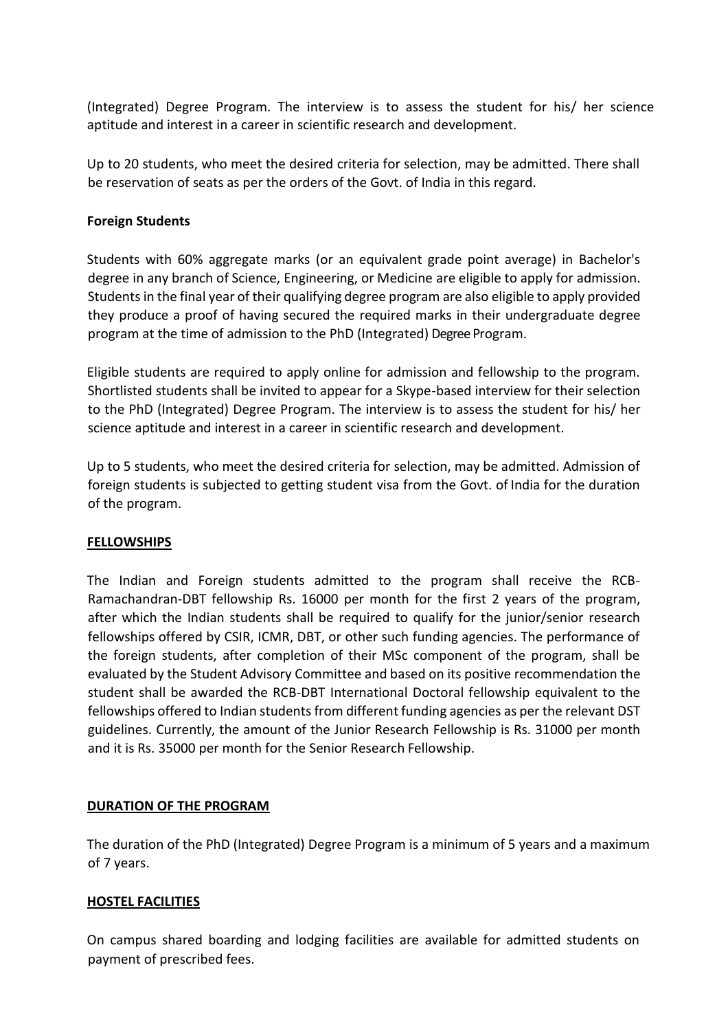(Integrated) Degree Program. The interview is to assess the student for his/ her science aptitude and interest in a career in scientific research and development.

Up to 20 students, who meet the desired criteria for selection, may be admitted. There shall be reservation of seats as per the orders of the Govt. of India in this regard.

#### **Foreign Students**

Students with 60% aggregate marks (or an equivalent grade point average) in Bachelor's degree in any branch of Science, Engineering, or Medicine are eligible to apply for admission. Students in the final year of their qualifying degree program are also eligible to apply provided they produce a proof of having secured the required marks in their undergraduate degree program at the time of admission to the PhD (Integrated) Degree Program.

Eligible students are required to apply online for admission and fellowship to the program. Shortlisted students shall be invited to appear for a Skype-based interview for their selection to the PhD (Integrated) Degree Program. The interview is to assess the student for his/ her science aptitude and interest in a career in scientific research and development.

Up to 5 students, who meet the desired criteria for selection, may be admitted. Admission of foreign students is subjected to getting student visa from the Govt. of India for the duration of the program.

## **FELLOWSHIPS**

The Indian and Foreign students admitted to the program shall receive the RCB-Ramachandran-DBT fellowship Rs. 16000 per month for the first 2 years of the program, after which the Indian students shall be required to qualify for the junior/senior research fellowships offered by CSIR, ICMR, DBT, or other such funding agencies. The performance of the foreign students, after completion of their MSc component of the program, shall be evaluated by the Student Advisory Committee and based on its positive recommendation the student shall be awarded the RCB-DBT International Doctoral fellowship equivalent to the fellowships offered to Indian students from different funding agencies as per the relevant DST guidelines. Currently, the amount of the Junior Research Fellowship is Rs. 31000 per month and it is Rs. 35000 per month for the Senior Research Fellowship.

## **DURATION OF THE PROGRAM**

The duration of the PhD (Integrated) Degree Program is a minimum of 5 years and a maximum of 7 years.

#### **HOSTEL FACILITIES**

On campus shared boarding and lodging facilities are available for admitted students on payment of prescribed fees.